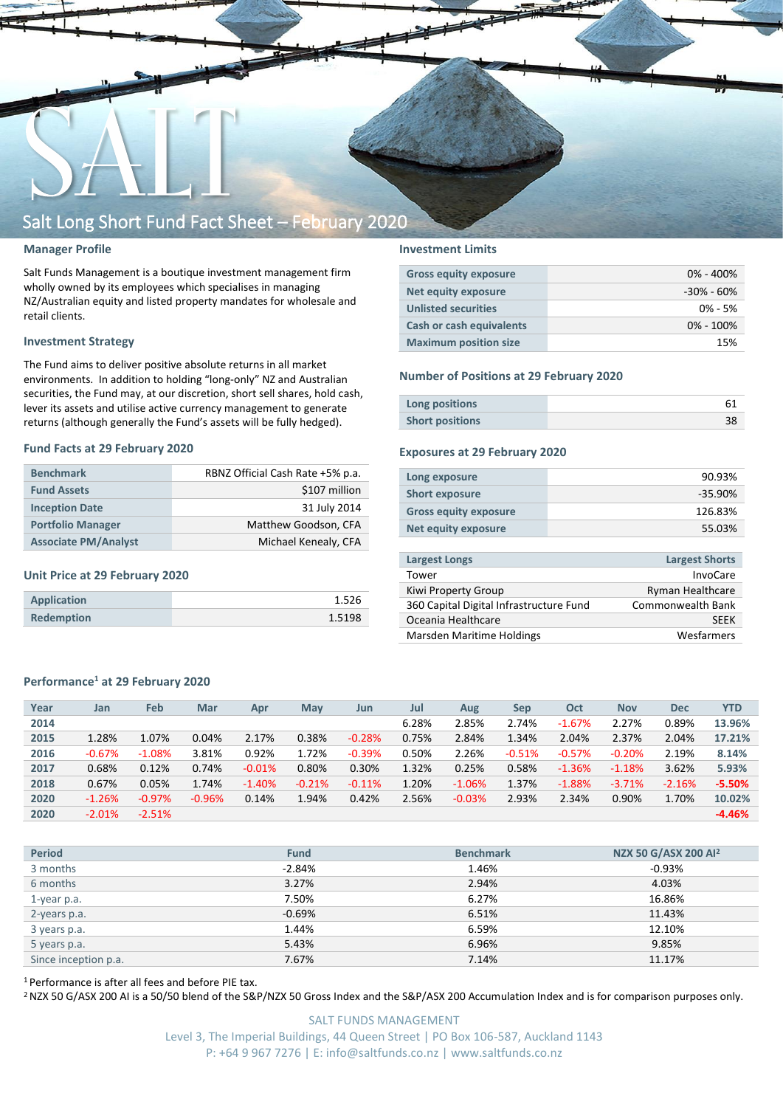

#### **Manager Profile**

Salt Funds Management is a boutique investment management firm wholly owned by its employees which specialises in managing NZ/Australian equity and listed property mandates for wholesale and retail clients.

#### **Investment Strategy**

The Fund aims to deliver positive absolute returns in all market environments. In addition to holding "long-only" NZ and Australian securities, the Fund may, at our discretion, short sell shares, hold cash, lever its assets and utilise active currency management to generate returns (although generally the Fund's assets will be fully hedged).

#### **Fund Facts at 29 February 2020**

| <b>Benchmark</b>            | RBNZ Official Cash Rate +5% p.a. |
|-----------------------------|----------------------------------|
| <b>Fund Assets</b>          | \$107 million                    |
| <b>Inception Date</b>       | 31 July 2014                     |
| <b>Portfolio Manager</b>    | Matthew Goodson, CFA             |
| <b>Associate PM/Analyst</b> | Michael Kenealy, CFA             |

#### **Unit Price at 29 February 2020**

| Application       | 1.526  |
|-------------------|--------|
| <b>Redemption</b> | 1.5198 |

#### **Investment Limits**

| <b>Gross equity exposure</b> | $0\% - 400\%$  |
|------------------------------|----------------|
| Net equity exposure          | $-30\% - 60\%$ |
| <b>Unlisted securities</b>   | $0\% - 5\%$    |
| Cash or cash equivalents     | $0\% - 100\%$  |
| <b>Maximum position size</b> | 15%            |

#### **Number of Positions at 29 February 2020**

| Long positions         |  |
|------------------------|--|
| <b>Short positions</b> |  |

#### **Exposures at 29 February 2020**

| Long exposure                | 90.93%     |
|------------------------------|------------|
| <b>Short exposure</b>        | $-35.90\%$ |
| <b>Gross equity exposure</b> | 126.83%    |
| Net equity exposure          | 55.03%     |
|                              |            |

| Largest Longs                           | <b>Largest Shorts</b>   |
|-----------------------------------------|-------------------------|
| Tower                                   | InvoCare                |
| Kiwi Property Group                     | <b>Ryman Healthcare</b> |
| 360 Capital Digital Infrastructure Fund | Commonwealth Bank       |
| Oceania Healthcare                      | <b>SFFK</b>             |
| Marsden Maritime Holdings               | Wesfarmers              |

#### **Performance<sup>1</sup> at 29 February 2020**

| Year | Jan      | Feb      | Mar      | Apr      | May      | Jun      | Jul   | Aug      | <b>Sep</b> | Oct      | <b>Nov</b> | <b>Dec</b> | <b>YTD</b> |
|------|----------|----------|----------|----------|----------|----------|-------|----------|------------|----------|------------|------------|------------|
| 2014 |          |          |          |          |          |          | 6.28% | 2.85%    | 2.74%      | $-1.67%$ | 2.27%      | 0.89%      | 13.96%     |
| 2015 | 1.28%    | 1.07%    | 0.04%    | 2.17%    | 0.38%    | $-0.28%$ | 0.75% | 2.84%    | 1.34%      | 2.04%    | 2.37%      | 2.04%      | 17.21%     |
| 2016 | $-0.67%$ | $-1.08%$ | 3.81%    | 0.92%    | 1.72%    | $-0.39%$ | 0.50% | 2.26%    | $-0.51%$   | $-0.57%$ | $-0.20%$   | 2.19%      | 8.14%      |
| 2017 | 0.68%    | 0.12%    | 0.74%    | $-0.01%$ | 0.80%    | 0.30%    | 1.32% | 0.25%    | 0.58%      | $-1.36%$ | $-1.18%$   | 3.62%      | 5.93%      |
| 2018 | 0.67%    | 0.05%    | 1.74%    | $-1.40%$ | $-0.21%$ | $-0.11%$ | 1.20% | $-1.06%$ | 1.37%      | $-1.88%$ | $-3.71%$   | $-2.16%$   | $-5.50%$   |
| 2020 | $-1.26%$ | $-0.97%$ | $-0.96%$ | 0.14%    | 1.94%    | 0.42%    | 2.56% | $-0.03%$ | 2.93%      | 2.34%    | 0.90%      | 1.70%      | 10.02%     |
| 2020 | $-2.01%$ | $-2.51%$ |          |          |          |          |       |          |            |          |            |            | $-4.46%$   |

| <b>Period</b>        | <b>Fund</b> | <b>Benchmark</b> | NZX 50 G/ASX 200 Al <sup>2</sup> |
|----------------------|-------------|------------------|----------------------------------|
| 3 months             | $-2.84%$    | 1.46%            | $-0.93\%$                        |
| 6 months             | 3.27%       | 2.94%            | 4.03%                            |
| 1-year p.a.          | 7.50%       | 6.27%            | 16.86%                           |
| 2-years p.a.         | $-0.69%$    | 6.51%            | 11.43%                           |
| 3 years p.a.         | 1.44%       | 6.59%            | 12.10%                           |
| 5 years p.a.         | 5.43%       | 6.96%            | 9.85%                            |
| Since inception p.a. | 7.67%       | 7.14%            | 11.17%                           |
|                      |             |                  |                                  |

<sup>1</sup> Performance is after all fees and before PIE tax.

<sup>2</sup> NZX 50 G/ASX 200 AI is a 50/50 blend of the S&P/NZX 50 Gross Index and the S&P/ASX 200 Accumulation Index and is for comparison purposes only.

SALT FUNDS MANAGEMENT Level 3, The Imperial Buildings, 44 Queen Street | PO Box 106-587, Auckland 1143 P: +64 9 967 7276 | E: info@saltfunds.co.nz | www.saltfunds.co.nz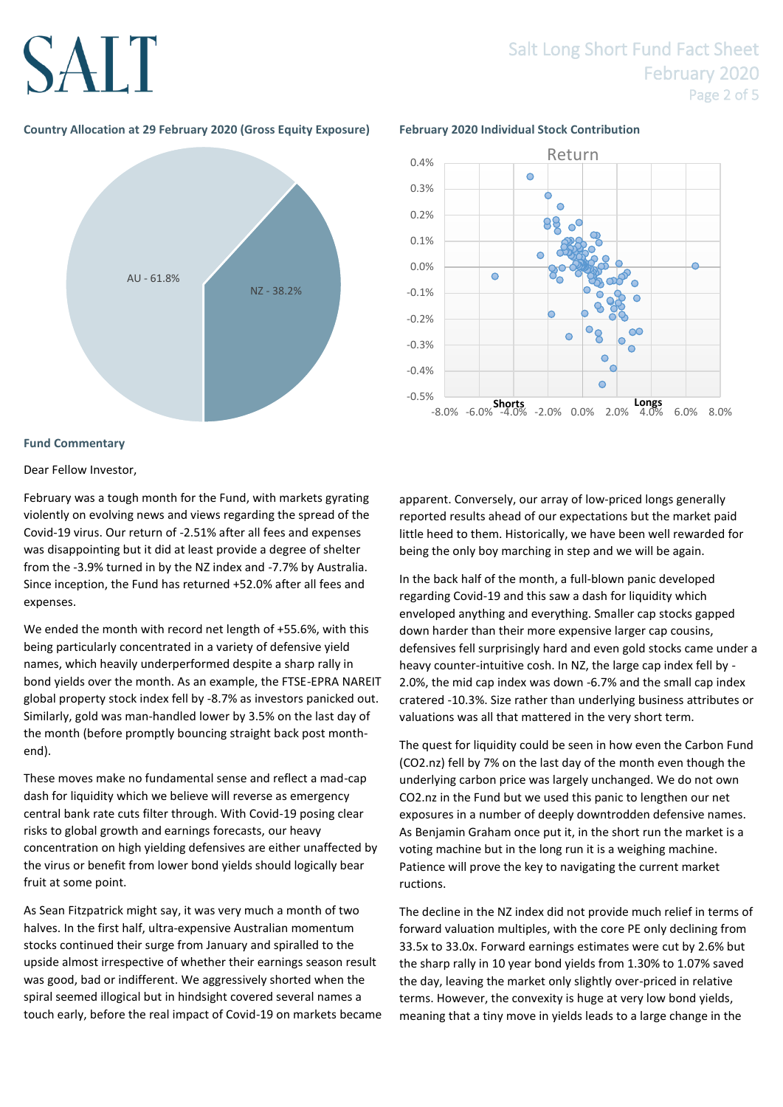### Salt Long Short Fund Fact Sheet February 2020 Page 2 of 5

### **Country Allocation at 29 February 2020 (Gross Equity Exposure) February 2020 Individual Stock Contribution**





#### **Fund Commentary**

Dear Fellow Investor,

February was a tough month for the Fund, with markets gyrating violently on evolving news and views regarding the spread of the Covid-19 virus. Our return of -2.51% after all fees and expenses was disappointing but it did at least provide a degree of shelter from the -3.9% turned in by the NZ index and -7.7% by Australia. Since inception, the Fund has returned +52.0% after all fees and expenses.

We ended the month with record net length of +55.6%, with this being particularly concentrated in a variety of defensive yield names, which heavily underperformed despite a sharp rally in bond yields over the month. As an example, the FTSE-EPRA NAREIT global property stock index fell by -8.7% as investors panicked out. Similarly, gold was man-handled lower by 3.5% on the last day of the month (before promptly bouncing straight back post monthend).

These moves make no fundamental sense and reflect a mad-cap dash for liquidity which we believe will reverse as emergency central bank rate cuts filter through. With Covid-19 posing clear risks to global growth and earnings forecasts, our heavy concentration on high yielding defensives are either unaffected by the virus or benefit from lower bond yields should logically bear fruit at some point.

As Sean Fitzpatrick might say, it was very much a month of two halves. In the first half, ultra-expensive Australian momentum stocks continued their surge from January and spiralled to the upside almost irrespective of whether their earnings season result was good, bad or indifferent. We aggressively shorted when the spiral seemed illogical but in hindsight covered several names a touch early, before the real impact of Covid-19 on markets became apparent. Conversely, our array of low-priced longs generally reported results ahead of our expectations but the market paid little heed to them. Historically, we have been well rewarded for being the only boy marching in step and we will be again.

In the back half of the month, a full-blown panic developed regarding Covid-19 and this saw a dash for liquidity which enveloped anything and everything. Smaller cap stocks gapped down harder than their more expensive larger cap cousins, defensives fell surprisingly hard and even gold stocks came under a heavy counter-intuitive cosh. In NZ, the large cap index fell by - 2.0%, the mid cap index was down -6.7% and the small cap index cratered -10.3%. Size rather than underlying business attributes or valuations was all that mattered in the very short term.

The quest for liquidity could be seen in how even the Carbon Fund (CO2.nz) fell by 7% on the last day of the month even though the underlying carbon price was largely unchanged. We do not own CO2.nz in the Fund but we used this panic to lengthen our net exposures in a number of deeply downtrodden defensive names. As Benjamin Graham once put it, in the short run the market is a voting machine but in the long run it is a weighing machine. Patience will prove the key to navigating the current market ructions.

The decline in the NZ index did not provide much relief in terms of forward valuation multiples, with the core PE only declining from 33.5x to 33.0x. Forward earnings estimates were cut by 2.6% but the sharp rally in 10 year bond yields from 1.30% to 1.07% saved the day, leaving the market only slightly over-priced in relative terms. However, the convexity is huge at very low bond yields, meaning that a tiny move in yields leads to a large change in the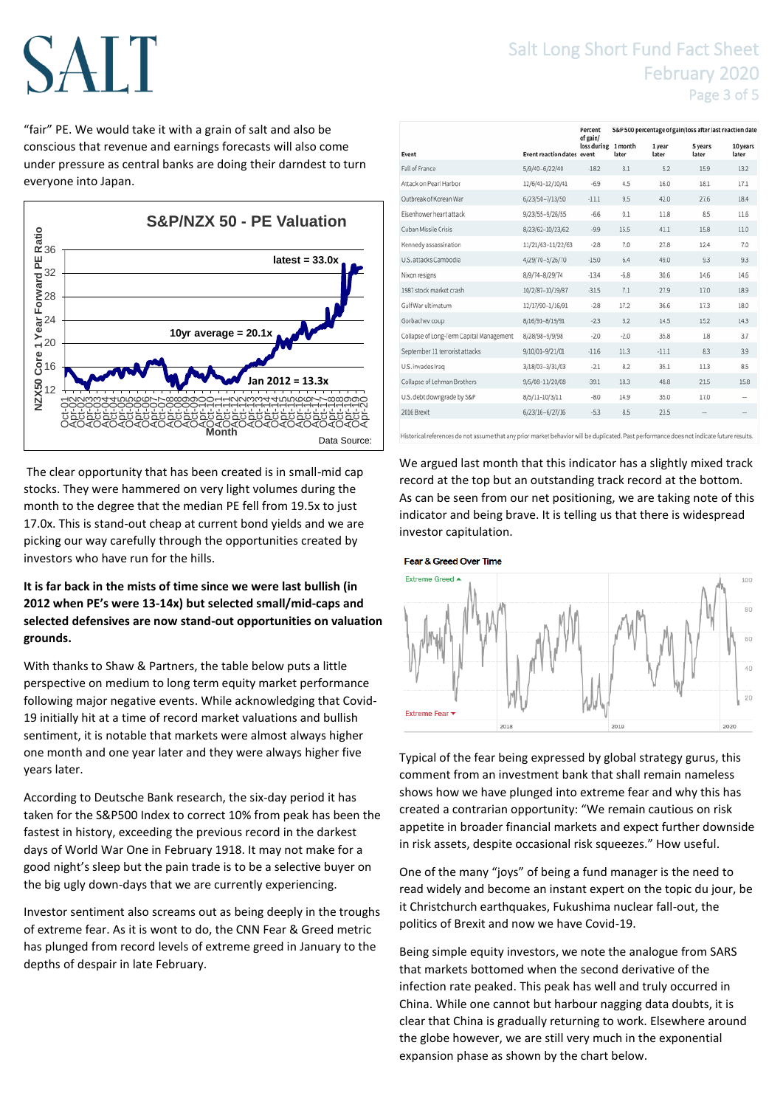"fair" PE. We would take it with a grain of salt and also be conscious that revenue and earnings forecasts will also come under pressure as central banks are doing their darndest to turn everyone into Japan.



The clear opportunity that has been created is in small-mid cap stocks. They were hammered on very light volumes during the month to the degree that the median PE fell from 19.5x to just 17.0x. This is stand-out cheap at current bond yields and we are picking our way carefully through the opportunities created by investors who have run for the hills.

**It is far back in the mists of time since we were last bullish (in 2012 when PE's were 13-14x) but selected small/mid-caps and selected defensives are now stand-out opportunities on valuation grounds.**

With thanks to Shaw & Partners, the table below puts a little perspective on medium to long term equity market performance following major negative events. While acknowledging that Covid-19 initially hit at a time of record market valuations and bullish sentiment, it is notable that markets were almost always higher one month and one year later and they were always higher five years later.

According to Deutsche Bank research, the six-day period it has taken for the S&P500 Index to correct 10% from peak has been the fastest in history, exceeding the previous record in the darkest days of World War One in February 1918. It may not make for a good night's sleep but the pain trade is to be a selective buyer on the big ugly down-days that we are currently experiencing.

Investor sentiment also screams out as being deeply in the troughs of extreme fear. As it is wont to do, the CNN Fear & Greed metric has plunged from record levels of extreme greed in January to the depths of despair in late February.

### Salt Long Short Fund Fact Sheet February 2020 Page 3 of 5

|                                          |                                   | Percent<br>of gain/ | S&P 500 percentage of gain/loss after last reaction date |                 |                  |                   |
|------------------------------------------|-----------------------------------|---------------------|----------------------------------------------------------|-----------------|------------------|-------------------|
| Event                                    | <b>Event reaction dates event</b> | loss during         | 1 month<br>later                                         | 1 year<br>later | 5 years<br>later | 10 years<br>later |
| Fall of France                           | 5/9/40-6/22/40                    | $-182$              | 3.1                                                      | 5.2             | 15.9             | 13.2              |
| Attack on Pearl Harbor                   | 12/6/41-12/10/41                  | $-6.9$              | 4.5                                                      | 16.0            | 18.1             | 17.1              |
| Outbreak of Korean War                   | 6/23/50-7/13/50                   | $-11.1$             | 9.5                                                      | 42.0            | 27.6             | 18.4              |
| Eisenhower heart attack                  | 9/23/55-9/26/55                   | $-6.6$              | 0.1                                                      | 11.8            | 8.5              | 11.6              |
| Cuban Missile Crisis                     | 8/23/62-10/23/62                  | $-9.9$              | 15.5                                                     | 41.1            | 15.8             | 11.0              |
| Kennedy assassination                    | 11/21/63-11/22/63                 | $-28$               | 7.0                                                      | 27.8            | 12.4             | 7.0               |
| U.S. attacks Cambodia                    | 4/29/70-5/26/70                   | $-15.0$             | 6.4                                                      | 49.0            | 9.3              | 9.3               |
| Nixon resigns                            | 8/9/74-8/29/74                    | $-13.4$             | $-6.8$                                                   | 30.6            | 14.6             | 14.6              |
| 1987 stock market crash                  | 10/2/87-10/19/87                  | $-31.5$             | 7.1                                                      | 27.9            | 17.0             | 18.9              |
| Gulf War ultimatum                       | 12/17/90-1/16/91                  | $-28$               | 17.2                                                     | 36.6            | 17.3             | 18.0              |
| Gorbachev coup                           | 8/16/91-8/19/91                   | $-23$               | 3.2                                                      | 14.5            | 15.2             | 14.3              |
| Collapse of Long-Term Capital Management | 8/28/98-9/9/98                    | $-2.0$              | $-2.0$                                                   | 35.8            | 1.8              | 3.7               |
| September 11 terrorist attacks           | 9/10/01-9/21/01                   | $-11.6$             | 11.3                                                     | $-11.1$         | 83               | 3.9               |
| U.S. invades Iraq                        | 3/18/03-3/31/03                   | $-2.1$              | 8.2                                                      | 35.1            | 11.3             | 8.5               |
| Collapse of Lehman Brothers              | 9/5/08-11/20/08                   | $-39.1$             | 18.3                                                     | 48.8            | 21.5             | 15.8              |
| U.S. debt downgrade by S&P               | 8/5/11-10/3/11                    | $-8.0$              | 14.9                                                     | 35.0            | 17.0             |                   |
| 2016 Brexit                              | $6/23/16-6/27/16$                 | $-53$               | 8.5                                                      | 23.5            |                  |                   |
|                                          |                                   |                     |                                                          |                 |                  |                   |

Historical references do not assume that any prior market behavior will be duplicated. Past performance does not indicate future results.

We argued last month that this indicator has a slightly mixed track record at the top but an outstanding track record at the bottom. As can be seen from our net positioning, we are taking note of this indicator and being brave. It is telling us that there is widespread investor capitulation.





Typical of the fear being expressed by global strategy gurus, this comment from an investment bank that shall remain nameless shows how we have plunged into extreme fear and why this has created a contrarian opportunity: "We remain cautious on risk appetite in broader financial markets and expect further downside in risk assets, despite occasional risk squeezes." How useful.

One of the many "joys" of being a fund manager is the need to read widely and become an instant expert on the topic du jour, be it Christchurch earthquakes, Fukushima nuclear fall-out, the politics of Brexit and now we have Covid-19.

Being simple equity investors, we note the analogue from SARS that markets bottomed when the second derivative of the infection rate peaked. This peak has well and truly occurred in China. While one cannot but harbour nagging data doubts, it is clear that China is gradually returning to work. Elsewhere around the globe however, we are still very much in the exponential expansion phase as shown by the chart below.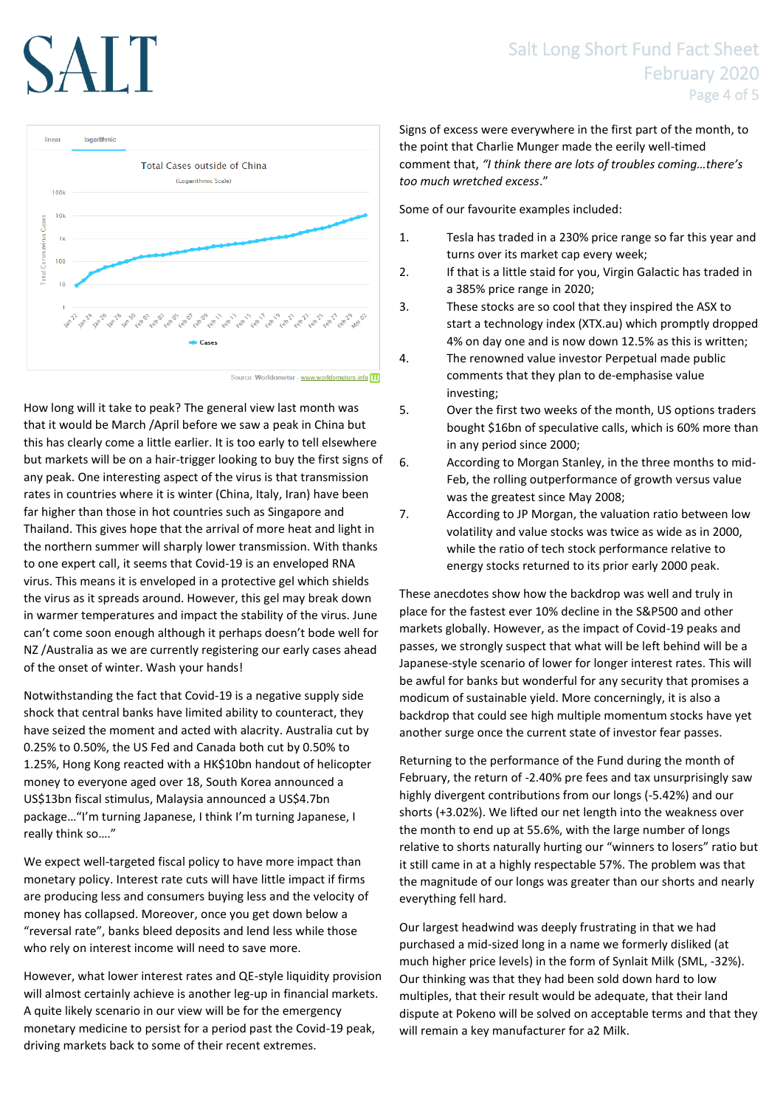

How long will it take to peak? The general view last month was that it would be March /April before we saw a peak in China but this has clearly come a little earlier. It is too early to tell elsewhere but markets will be on a hair-trigger looking to buy the first signs of any peak. One interesting aspect of the virus is that transmission rates in countries where it is winter (China, Italy, Iran) have been far higher than those in hot countries such as Singapore and Thailand. This gives hope that the arrival of more heat and light in the northern summer will sharply lower transmission. With thanks to one expert call, it seems that Covid-19 is an enveloped RNA virus. This means it is enveloped in a protective gel which shields the virus as it spreads around. However, this gel may break down in warmer temperatures and impact the stability of the virus. June can't come soon enough although it perhaps doesn't bode well for NZ /Australia as we are currently registering our early cases ahead of the onset of winter. Wash your hands!

Notwithstanding the fact that Covid-19 is a negative supply side shock that central banks have limited ability to counteract, they have seized the moment and acted with alacrity. Australia cut by 0.25% to 0.50%, the US Fed and Canada both cut by 0.50% to 1.25%, Hong Kong reacted with a HK\$10bn handout of helicopter money to everyone aged over 18, South Korea announced a US\$13bn fiscal stimulus, Malaysia announced a US\$4.7bn package…"I'm turning Japanese, I think I'm turning Japanese, I really think so…."

We expect well-targeted fiscal policy to have more impact than monetary policy. Interest rate cuts will have little impact if firms are producing less and consumers buying less and the velocity of money has collapsed. Moreover, once you get down below a "reversal rate", banks bleed deposits and lend less while those who rely on interest income will need to save more.

However, what lower interest rates and QE-style liquidity provision will almost certainly achieve is another leg-up in financial markets. A quite likely scenario in our view will be for the emergency monetary medicine to persist for a period past the Covid-19 peak, driving markets back to some of their recent extremes.

Signs of excess were everywhere in the first part of the month, to the point that Charlie Munger made the eerily well-timed comment that, *"I think there are lots of troubles coming…there's too much wretched excess*."

Some of our favourite examples included:

- 1. Tesla has traded in a 230% price range so far this year and turns over its market cap every week;
- 2. If that is a little staid for you, Virgin Galactic has traded in a 385% price range in 2020;
- 3. These stocks are so cool that they inspired the ASX to start a technology index (XTX.au) which promptly dropped 4% on day one and is now down 12.5% as this is written;
- 4. The renowned value investor Perpetual made public comments that they plan to de-emphasise value investing;
- 5. Over the first two weeks of the month, US options traders bought \$16bn of speculative calls, which is 60% more than in any period since 2000;
- 6. According to Morgan Stanley, in the three months to mid-Feb, the rolling outperformance of growth versus value was the greatest since May 2008;
- 7. According to JP Morgan, the valuation ratio between low volatility and value stocks was twice as wide as in 2000, while the ratio of tech stock performance relative to energy stocks returned to its prior early 2000 peak.

These anecdotes show how the backdrop was well and truly in place for the fastest ever 10% decline in the S&P500 and other markets globally. However, as the impact of Covid-19 peaks and passes, we strongly suspect that what will be left behind will be a Japanese-style scenario of lower for longer interest rates. This will be awful for banks but wonderful for any security that promises a modicum of sustainable yield. More concerningly, it is also a backdrop that could see high multiple momentum stocks have yet another surge once the current state of investor fear passes.

Returning to the performance of the Fund during the month of February, the return of -2.40% pre fees and tax unsurprisingly saw highly divergent contributions from our longs (-5.42%) and our shorts (+3.02%). We lifted our net length into the weakness over the month to end up at 55.6%, with the large number of longs relative to shorts naturally hurting our "winners to losers" ratio but it still came in at a highly respectable 57%. The problem was that the magnitude of our longs was greater than our shorts and nearly everything fell hard.

Our largest headwind was deeply frustrating in that we had purchased a mid-sized long in a name we formerly disliked (at much higher price levels) in the form of Synlait Milk (SML, -32%). Our thinking was that they had been sold down hard to low multiples, that their result would be adequate, that their land dispute at Pokeno will be solved on acceptable terms and that they will remain a key manufacturer for a2 Milk.